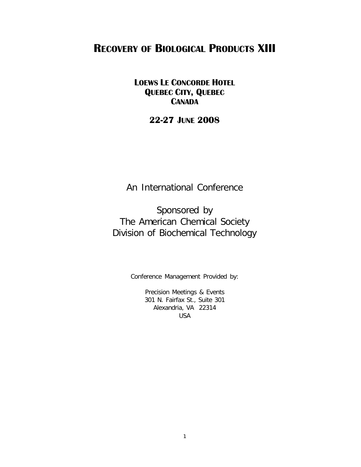# **RECOVERY OF BIOLOGICAL PRODUCTS XIII**

### **LOEWS LE CONCORDE HOTEL QUEBEC CITY, QUEBEC CANADA**

## **22-27 JUNE 2008**

An International Conference

Sponsored by The American Chemical Society Division of Biochemical Technology

Conference Management Provided by:

Precision Meetings & Events 301 N. Fairfax St., Suite 301 Alexandria, VA 22314 USA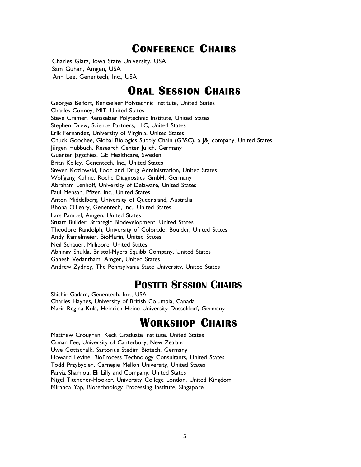# **CONFERENCE CHAIRS**

Charles Glatz, Iowa State University, USA Sam Guhan, Amgen, USA Ann Lee, Genentech, Inc., USA

# **ORAL SESSION CHAIRS**

Georges Belfort, Rensselaer Polytechnic Institute, United States Charles Cooney, MIT, United States Steve Cramer, Rensselaer Polytechnic Institute, United States Stephen Drew, Science Partners, LLC, United States Erik Fernandez, University of Virginia, United States Chuck Goochee, Global Biologics Supply Chain (GBSC), a J&J company, United States Jürgen Hubbuch, Research Center Jülich, Germany Guenter Jagschies, GE Healthcare, Sweden Brian Kelley, Genentech, Inc., United States Steven Kozlowski, Food and Drug Administration, United States Wolfgang Kuhne, Roche Diagnostics GmbH, Germany Abraham Lenhoff, University of Delaware, United States Paul Mensah, Pfizer, Inc., United States Anton Middelberg, University of Queensland, Australia Rhona O'Leary, Genentech, Inc., United States Lars Pampel, Amgen, United States Stuart Builder, Strategic Biodevelopment, United States Theodore Randolph, University of Colorado, Boulder, United States Andy Ramelmeier, BioMarin, United States Neil Schauer, Millipore, United States Abhinav Shukla, Bristol-Myers Squibb Company, United States Ganesh Vedantham, Amgen, United States Andrew Zydney, The Pennsylvania State University, United States

# **POSTER SESSION CHAIRS**

Shishir Gadam, Genentech, Inc., USA Charles Haynes, University of British Columbia, Canada Maria-Regina Kula, Heinrich Heine University Dusseldorf, Germany

# **WORKSHOP CHAIRS**

Matthew Croughan, Keck Graduate Institute, United States Conan Fee, University of Canterbury, New Zealand Uwe Gottschalk, Sartorius Stedim Biotech, Germany Howard Levine, BioProcess Technology Consultants, United States Todd Przybycien, Carnegie Mellon University, United States Parviz Shamlou, Eli Lilly and Company, United States Nigel Titchener-Hooker, University College London, United Kingdom Miranda Yap, Biotechnology Processing Institute, Singapore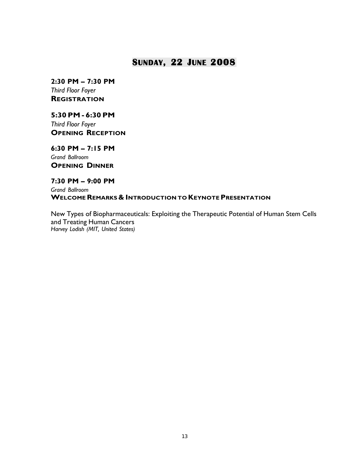### **SUNDAY, 22 JUNE 2008**

**2:30 PM – 7:30 PM** *Third Floor Foyer* **REGISTRATION**

**5:30PM - 6:30PM**

*Third Floor Foyer* **OPENING RECEPTION**

**6:30 PM – 7:15 PM** *Grand Ballroom* **OPENING DINNER**

**7:30 PM – 9:00 PM**

*Grand Ballroom* **WELCOMEREMARKS& INTRODUCTION TO KEYNOTEPRESENTATION**

New Types of Biopharmaceuticals: Exploiting the Therapeutic Potential of Human Stem Cells and Treating Human Cancers *Harvey Lodish (MIT, United States)*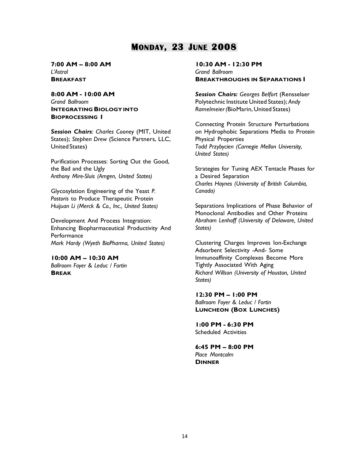## **MONDAY, 23 JUNE 2008**

#### **7:00 AM – 8:00 AM** *L'Astral* **BREAKFAST**

### **8:00 AM - 10:00 AM** *Grand Ballroom* **INTEGRATING BIOLOGY INTO BIOPROCESSING I**

*Session Chairs*: *Charles Cooney* (MIT, United States); *Stephen Drew* (Science Partners, LLC, United States)

Purification Processes: Sorting Out the Good, the Bad and the Ugly *Anthony Mire-Sluis (Amgen, United States)*

Glycosylation Engineering of the Yeast *P. Pastoris* to Produce Therapeutic Protein *Huijuan Li (Merck & Co., Inc., United States)*

Development And Process Integration: Enhancing Biopharmaceutical Productivity And **Performance** *Mark Hardy (Wyeth BioPharma, United States)*

**10:00 AM – 10:30 AM** *Ballroom Foyer & Leduc / Fortin* **BREAK**

#### **10:30 AM - 12:30 PM** *Grand Ballroom* **BREAKTHROUGHS IN SEPARATIONS I**

*Session Chairs: Georges Belfort* (Rensselaer Polytechnic Institute United States); *Andy Ramelmeier(*BioMarin, United States)

Connecting Protein Structure Perturbations on Hydrophobic Separations Media to Protein Physical Properties *Todd Przybycien (Carnegie Mellon University, United States)*

Strategies for Tuning AEX Tentacle Phases for a Desired Separation *Charles Haynes (University of British Columbia, Canada)*

Separations Implications of Phase Behavior of Monoclonal Antibodies and Other Proteins *Abraham Lenhoff (University of Delaware, United States)*

Clustering Charges Improves Ion-Exchange Adsorbent Selectivity -And- Some Immunoaffinity Complexes Become More Tightly Associated With Aging *Richard Willson (University of Houston, United States)*

**12:30 PM – 1:00 PM** *Ballroom Foyer & Leduc / Fortin* **LUNCHEON (BOX LUNCHES)**

**1:00 PM - 6:30 PM** Scheduled Activities

**6:45 PM – 8:00 PM** *Place Montcalm* **DINNER**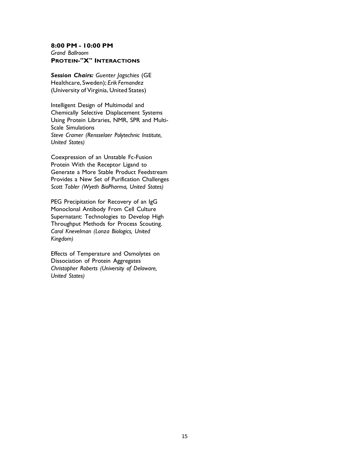#### **8:00 PM - 10:00 PM** *Grand Ballroom* **PROTEIN-"X" INTERACTIONS**

*Session Chairs: Guenter Jagschies* (GE Healthcare, Sweden); *Erik Fernandez* (University of Virginia, United States)

Intelligent Design of Multimodal and Chemically Selective Displacement Systems Using Protein Libraries, NMR, SPR and Multi-Scale Simulations *Steve Cramer (Rensselaer Polytechnic Institute, United States)*

Coexpression of an Unstable Fc-Fusion Protein With the Receptor Ligand to Generate a More Stable Product Feedstream Provides a New Set of Purification Challenges *Scott Tobler (Wyeth BioPharma, United States)*

PEG Precipitation for Recovery of an IgG Monoclonal Antibody From Cell Culture Supernatant: Technologies to Develop High Throughput Methods for Process Scouting. *Carol Knevelman (Lonza Biologics, United Kingdom)*

Effects of Temperature and Osmolytes on Dissociation of Protein Aggregates *Christopher Roberts (University of Delaware, United States)*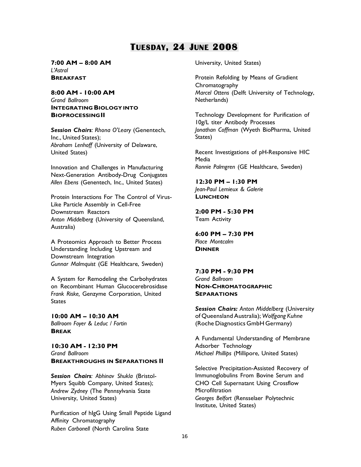## **TUESDAY, 24 JUNE 2008**

#### **7:00 AM – 8:00 AM** *L'Astral* **BREAKFAST**

**8:00 AM - 10:00 AM** *Grand Ballroom* **INTEGRATING BIOLOGY INTO BIOPROCESSINGII**

*Session Chairs: Rhona O'Leary* (Genentech, Inc., United States); *Abraham Lenhoff* (University of Delaware, United States)

Innovation and Challenges in Manufacturing Next-Generation Antibody-Drug Conjugates *Allen Ebens* (Genentech, Inc., United States)

Protein Interactions For The Control of Virus-Like Particle Assembly in Cell-Free Downstream Reactors *Anton Middelberg* (University of Queensland, Australia)

A Proteomics Approach to Better Process Understanding Including Upstream and Downstream Integration *Gunnar Malmquist* (GE Healthcare, Sweden)

A System for Remodeling the Carbohydrates on Recombinant Human Glucocerebrosidase *Frank Riske,* Genzyme Corporation, United States

**10:00 AM – 10:30 AM** *Ballroom Foyer & Leduc / Fortin* **BREAK**

**10:30 AM - 12:30 PM** *Grand Ballroom* **BREAKTHROUGHS IN SEPARATIONS II**

*Session Chairs: Abhinav Shukla* (Bristol-Myers Squibb Company, United States); *Andrew Zydney* (The Pennsylvania State University, United States)

Purification of hIgG Using Small Peptide Ligand Affinity Chromatography *Ruben Carbonell* (North Carolina State

University, United States)

Protein Refolding by Means of Gradient Chromatography *Marcel Ottens* (Delft University of Technology, Netherlands)

Technology Development for Purification of 10g/L titer Antibody Processes *Jonathan Coffman* (Wyeth BioPharma, United States)

Recent Investigations of pH-Responsive HIC **Media** *Ronnie Palmgren* (GE Healthcare, Sweden)

**12:30 PM – 1:30 PM** *Jean-Paul Lemieux & Galerie* **LUNCHEON**

**2:00 PM - 5:30 PM** Team Activity

**6:00 PM – 7:30 PM** *Place Montcalm* **DINNER**

**7:30 PM - 9:30 PM** *Grand Ballroom* **NON-CHROMATOGRAPHIC SEPARATIONS**

*Session Chairs: Anton Middelberg* (University of Queensland Australia); *Wolfgang Kuhne* (Roche Diagnostics GmbH Germany)

A Fundamental Understanding of Membrane Adsorber Technology *Michael Phillips* (Millipore, United States)

Selective Precipitation-Assisted Recovery of Immunoglobulins From Bovine Serum and CHO Cell Supernatant Using Crossflow **Microfiltration** *Georges Belfort* (Rensselaer Polytechnic Institute, United States)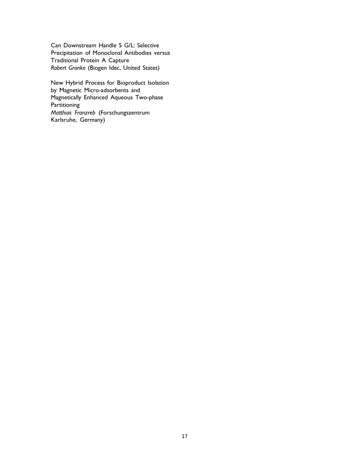Can Downstream Handle 5 G/L: Selective Precipitation of Monoclonal Antibodies versus Traditional Protein A Capture *Robert Gronke* (Biogen Idec, United States)

New Hybrid Process for Bioproduct Isolation by Magnetic Micro-adsorbents and Magnetically Enhanced Aqueous Two-phase **Partitioning** *Matthias Franzreb* (Forschungszentrum Karlsruhe, Germany)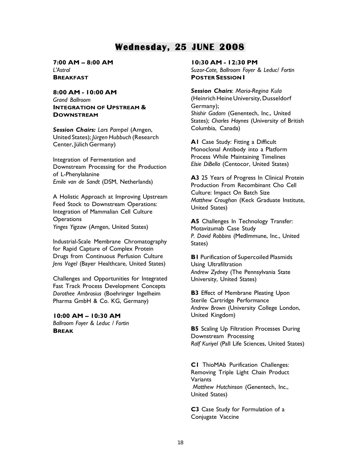## **Wednesday, 25 JUNE 2008**

**7:00 AM – 8:00 AM** *L'Astral* **BREAKFAST**

**8:00 AM - 10:00 AM**

*Grand Ballroom* **INTEGRATION OF UPSTREAM & DOWNSTREAM**

*Session Chairs: Lars Pampel* (Amgen, United States); *Jürgen Hubbuch* (Research Center, Jülich Germany)

Integration of Fermentation and Downstream Processing for the Production of L-Phenylalanine *Emile van de Sandt* (DSM, Netherlands)

A Holistic Approach at Improving Upstream Feed Stock to Downstream Operations: Integration of Mammalian Cell Culture **Operations** *Yinges Yigzaw* (Amgen, United States)

Industrial-Scale Membrane Chromatography for Rapid Capture of Complex Protein Drugs from Continuous Perfusion Culture *Jens Vogel* (Bayer Healthcare, United States)

Challenges and Opportunities for Integrated Fast Track Process Development Concepts *Dorothee Ambrosius* (Boehringer Ingelheim Pharma GmbH & Co. KG, Germany)

### **10:00 AM – 10:30 AM**

*Ballroom Foyer & Leduc / Fortin* **BREAK**

**10:30 AM - 12:30 PM**

*Suzor-Cote, Ballroom Foyer & Leduc/ Fortin* **POSTER SESSION I**

*Session Chairs*: *Maria-Regina Kula* (Heinrich Heine University, Dusseldorf Germany); *Shishir Gadam* (Genentech, Inc., United States); *Charles Haynes* (University of British Columbia, Canada)

A1 Case Study: Fitting a Difficult Monoclonal Antibody into a Platform Process While Maintaining Timelines *Elsie DiBella* (Centocor, United States)

**A3** 25 Years of Progress In Clinical Protein Production From Recombinant Cho Cell Culture: Impact On Batch Size *Matthew Croughan* (Keck Graduate Institute, United States)

**A5** Challenges In Technology Transfer: Motavizumab Case Study *P. David Robbins* (MedImmune, Inc., United States)

**B1** Purification of Supercoiled Plasmids Using Ultrafiltration *Andrew Zydney* (The Pennsylvania State University, United States)

**B3** Effect of Membrane Pleating Upon Sterile Cartridge Performance *Andrew Brown* (University College London, United Kingdom)

**B5** Scaling Up Filtration Processes During Downstream Processing *Ralf Kuriyel* (Pall Life Sciences, United States)

**C1** ThioMAb Purification Challenges: Removing Triple Light Chain Product **Variants** *Matthew Hutchinson* (Genentech, Inc., United States)

**C3** Case Study for Formulation of a Conjugate Vaccine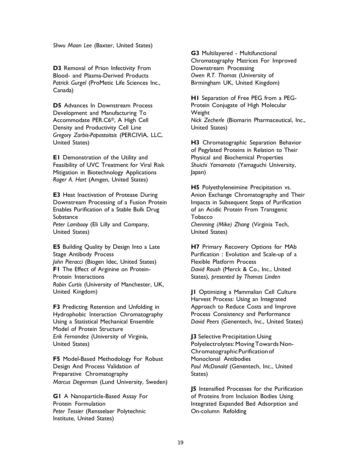*Shwu Maan Lee* (Baxter, United States)

**D3** Removal of Prion Infectivity From Blood- and Plasma-Derived Products *Patrick Gurgel* (ProMetic Life Sciences Inc., Canada)

**D5** Advances In Downstream Process Development and Manufacturing To Accommodate PER.C6®, A High Cell Density and Productivity Cell Line *Gregory Zarbis-Papastoitsis* (PERCIVIA, LLC, United States)

**E1** Demonstration of the Utility and Feasibility of UVC Treatment for Viral Risk Mitigation in Biotechnology Applications *Roger A. Hart* (Amgen, United States)

**E3** Heat Inactivation of Protease During Downstream Processing of a Fusion Protein Enables Purification of a Stable Bulk Drug **Substance** *Peter Lambooy* (Eli Lilly and Company, United States)

**E5** Building Quality by Design Into a Late Stage Antibody Process *John Pieracci* (Biogen Idec, United States) **F1** The Effect of Arginine on Protein-Protein Interactions *Robin Curtis* (University of Manchester, UK, United Kingdom)

**F3** Predicting Retention and Unfolding in Hydrophobic Interaction Chromatography Using a Statistical Mechanical Ensemble Model of Protein Structure *Erik Fernandez* (University of Virginia, United States)

**F5** Model-Based Methodology For Robust Design And Process Validation of Preparative Chromatography *Marcus Degerman* (Lund University, Sweden)

**G1** A Nanoparticle-Based Assay For Protein Formulation *Peter Tessier* (Rensselaer Polytechnic Institute, United States)

**G3** Multilayered - Multifunctional Chromatography Matrices For Improved Downstream Processing *Owen R.T. Thomas* (University of Birmingham UK, United Kingdom)

**H1** Separation of Free PEG from a PEG-Protein Conjugate of High Molecular Weight *Nick Zecherle* (Biomarin Pharmaceutical, Inc., United States)

**H3** Chromatographic Separation Behavior of Pegylated Proteins in Relation to Their Physical and Biochemical Properties *Shuichi Yamamoto* (Yamaguchi University, Japan)

**H5** Polyethyleneimine Precipitation vs. Anion Exchange Chromatography and Their Impacts in Subsequent Steps of Purification of an Acidic Protein From Transgenic **Tobacco** *Chenming (Mike) Zhang* (Virginia Tech, United States)

**H7** Primary Recovery Options for MAb Purification : Evolution and Scale-up of a Flexible Platform Process *David Roush* (Merck & Co., Inc., United States), *presented by Thomas Linden*

**J1** Optimizing a Mammalian Cell Culture Harvest Process: Using an Integrated Approach to Reduce Costs and Improve Process Consistency and Performance *David Peers* (Genentech, Inc., United States)

**J3** Selective Precipitation Using Polyelectrolytes: Moving Towards Non-ChromatographicPurificationof Monoclonal Antibodies *Paul McDonald* (Genentech, Inc., United States)

**J5** Intensified Processes for the Purification of Proteins from Inclusion Bodies Using Integrated Expanded Bed Adsorption and On-column Refolding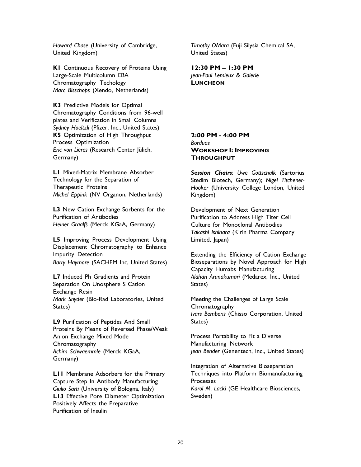*Howard Chase* (University of Cambridge, United Kingdom)

**K1** Continuous Recovery of Proteins Using Large-Scale Multicolumn EBA Chromatography Techology *Marc Bisschops* (Xendo, Netherlands)

**K3** Predictive Models for Optimal Chromatography Conditions from 96-well plates and Verification in Small Columns *Sydney Hoeltzli* (Pfizer, Inc., United States) **K5** Optimization of High Throughput Process Optimization *Eric von Lieres* (Research Center Jülich, Germany)

**L1** Mixed-Matrix Membrane Absorber Technology for the Separation of Therapeutic Proteins *Michel Eppink* (NV Organon, Netherlands)

**L3** New Cation Exchange Sorbents for the Purification of Antibodies *Heiner Graalfs* (Merck KGaA, Germany)

**L5** Improving Process Development Using Displacement Chromatography to Enhance Impurity Detection *Barry Haymore* (SACHEM Inc, United States)

**L7** Induced Ph Gradients and Protein Separation On Unosphere S Cation Exchange Resin *Mark Snyder* (Bio-Rad Laboratories, United States)

**L9** Purification of Peptides And Small Proteins By Means of Reversed Phase/Weak Anion Exchange Mixed Mode Chromatography *Achim Schwaemmle* (Merck KGaA, Germany)

**L11** Membrane Adsorbers for the Primary Capture Step In Antibody Manufacturing *Giulio Sarti* (University of Bologna, Italy) **L13** Effective Pore Diameter Optimization Positively Affects the Preparative Purification of Insulin

*Timothy OMara* (Fuji Silysia Chemical SA, United States)

**12:30 PM – 1:30 PM** *Jean-Paul Lemieux & Galerie* **LUNCHEON**

### **2:00 PM - 4:00 PM** *Borduas* **WORKSHOP I: IMPROVING THROUGHPUT**

*Session Chairs*: *Uwe Gottschalk* (Sartorius Stedim Biotech, Germany); *Nigel Titchener-Hooker* (University College London, United Kingdom)

Development of Next Generation Purification to Address High Titer Cell Culture for Monoclonal Antibodies *Takashi Ishihara* (Kirin Pharma Company Limited, Japan)

Extending the Efficiency of Cation Exchange Bioseparations by Novel Approach for High Capacity Humabs Manufacturing *Alahari Arunakumari* (Medarex, Inc., United States)

Meeting the Challenges of Large Scale Chromatography *Ivars Bemberis* (Chisso Corporation, United States)

Process Portability to Fit a Diverse Manufacturing Network *Jean Bender* (Genentech, Inc., United States)

Integration of Alternative Bioseparation Techniques into Platform Biomanufacturing Processes *Karol M. Lacki* (GE Healthcare Biosciences, Sweden)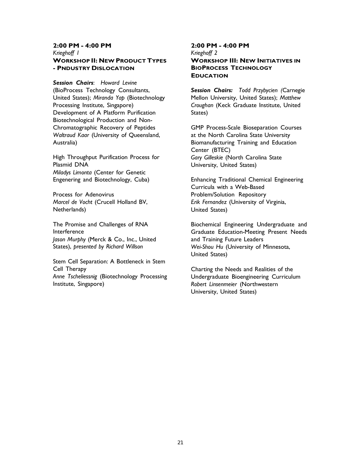### **2:00 PM - 4:00 PM** *Krieghoff 1* **WORKSHOP II: NEW PRODUCT TYPES - PNDUSTRY DISLOCATION**

*Session Chairs*: *Howard Levine* (BioProcess Technology Consultants, United States); *Miranda Yap* (Biotechnology Processing Institute, Singapore) Development of A Platform Purification Biotechnological Production and Non-Chromatographic Recovery of Peptides *Waltraud Kaar* (University of Queensland, Australia)

High Throughput Purification Process for Plasmid DNA *Miladys Limonta* (Center for Genetic Engenering and Biotechnology, Cuba)

Process for Adenovirus *Marcel de Vocht* (Crucell Holland BV, Netherlands)

The Promise and Challenges of RNA Interference *Jason Murphy* (Merck & Co., Inc., United States), *presented by Richard Willson*

Stem Cell Separation: A Bottleneck in Stem Cell Therapy *Anne Tscheliessnig* (Biotechnology Processing Institute, Singapore)

### **2:00 PM - 4:00 PM** *Krieghoff 2* **WORKSHOP III: NEW INITIATIVES IN BIOPROCESS TECHNOLOGY EDUCATION**

*Session Chairs: Todd Przybycien (*Carnegie Mellon University, United States); *Matthew Croughan* (Keck Graduate Institute, United States)

GMP Process-Scale Bioseparation Courses at the North Carolina State University Biomanufacturing Training and Education Center (BTEC) *Gary Gilleskie* (North Carolina State University, United States)

Enhancing Traditional Chemical Engineering Curricula with a Web-Based Problem/Solution Repository *Erik Fernandez* (University of Virginia, United States)

Biochemical Engineering Undergraduate and Graduate Education-Meeting Present Needs and Training Future Leaders *Wei-Shou Hu* (University of Minnesota, United States)

Charting the Needs and Realities of the Undergraduate Bioengineering Curriculum *Robert Linsenmeier* (Northwestern University, United States)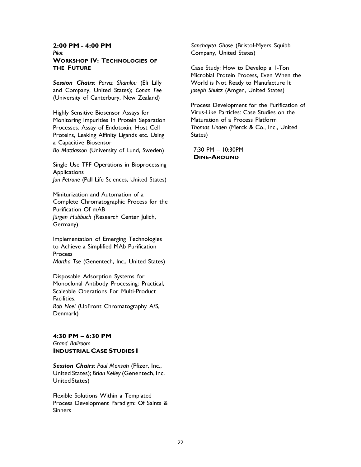### **2:00 PM - 4:00 PM**

*Pilot*

#### **WORKSHOP IV: TECHNOLOGIES OF THE FUTURE**

*Session Chairs*: *Parviz Shamlou* (Eli Lilly and Company, United States); *Conan Fee* (University of Canterbury, New Zealand)

Highly Sensitive Biosensor Assays for Monitoring Impurities In Protein Separation Processes. Assay of Endotoxin, Host Cell Proteins, Leaking Affinity Ligands etc. Using a Capacitive Biosensor

*Bo Mattiasson* (University of Lund, Sweden)

Single Use TFF Operations in Bioprocessing **Applications** 

*Jon Petrone* (Pall Life Sciences, United States)

Miniturization and Automation of a Complete Chromatographic Process for the Purification Of mAB *Jürgen Hubbuch (*Research Center Jülich, Germany)

Implementation of Emerging Technologies to Achieve a Simplified MAb Purification **Process** *Martha Tse* (Genentech, Inc., United States)

Disposable Adsorption Systems for Monoclonal Antibody Processing: Practical, Scaleable Operations For Multi-Product Facilities. *Rob Noel* (UpFront Chromatography A/S, Denmark)

### **4:30 PM – 6:30 PM**

*Grand Ballroom* **INDUSTRIAL CASE STUDIES I**

*Session Chairs*: *Paul Mensah* (Pfizer, Inc., United States); *Brian Kelley* (Genentech, Inc. United States)

Flexible Solutions Within a Templated Process Development Paradigm: Of Saints & Sinners

*Sanchayita Ghose* (Bristol-Myers Squibb Company, United States)

Case Study: How to Develop a 1-Ton Microbial Protein Process, Even When the World is Not Ready to Manufacture It *Joseph Shultz* (Amgen, United States)

Process Development for the Purification of Virus-Like Particles: Case Studies on the Maturation of a Process Platform *Thomas Linden* (Merck & Co., Inc., United States)

7:30 PM – 10:30PM **DINE-AROUND**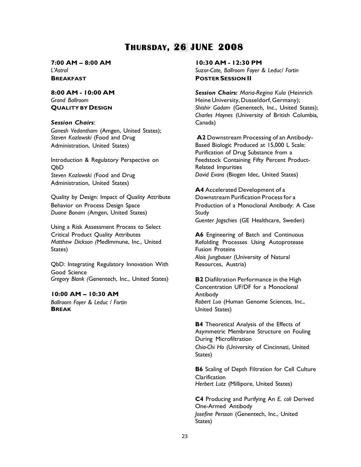# **THURSDAY, 26 JUNE 2008**

**7:00 AM – 8:00 AM** *L'Astral* **BREAKFAST POSTER SESSION II**

**8:00 AM - 10:00 AM** *Grand Ballroom* **QUALITY BY DESIGN**

#### *Session Chairs*:

*Ganesh Vedantham* (Amgen, United States); Administration, United States) Based Biologic Produced at 15,000 L Scale:

Introduction & Regulatory Perspective on QbD *Steven Kozlowski (*Food and Drug Administration, United States)

Quality by Design: Impact of Quality Attribute Behavior on Process Design Space Production of a Monoclonal Antibody: A Case **Duane Bonam (Amgen, United States) Study** 

Using a Risk Assessment Process to Select Critical Product Quality Attributes *Matthew Dickson (*MedImmune, Inc., United States)

QbD: Integrating Regulatory Innovation With Good Science *Gregory Blank (*Genentech, Inc., United States) **B2** Diafiltration Performance in the High

**10:00 AM – 10:30 AM** *Ballroom Foyer & Leduc / Fortin* **BREAK**

**10:30 AM - 12:30 PM**

*Suzor-Cote, Ballroom Foyer & Leduc/ Fortin*

*Session Chairs: Maria-Regina Kula* (Heinrich Heine University, Dusseldorf, Germany); *Shishir Gadam* (Genentech, Inc., United States); *Charles Haynes* (University of British Columbia, Canada)

*Steven Kozlowski* (Food and Drug **A2** Downstream Processing of an Antibody-Purification of Drug Substance from a Feedstock Containing Fifty Percent Product-Related Impurities *David Evans* (Biogen Idec, United States)

> **A4** Accelerated Development of a Downstream Purification Process for a *Guenter Jagschies* (GE Healthcare, Sweden)

**A6** Engineering of Batch and Continuous Refolding Processes Using Autoprotease Fusion Proteins *Alois Jungbauer* (University of Natural Resources, Austria)

Concentration UF/DF for a Monoclonal Antibody *Robert Luo* (Human Genome Sciences, Inc., United States)

**B4** Theoretical Analysis of the Effects of Asymmetric Membrane Structure on Fouling During Microfiltration *Chia-Chi Ho* (University of Cincinnati, United States)

**B6** Scaling of Depth Filtration for Cell Culture **Clarification** *Herbert Lutz* (Millipore, United States)

**C4** Producing and Purifying An *E. coli* Derived One-Armed Antibody *Josefine Persson* (Genentech, Inc., United States)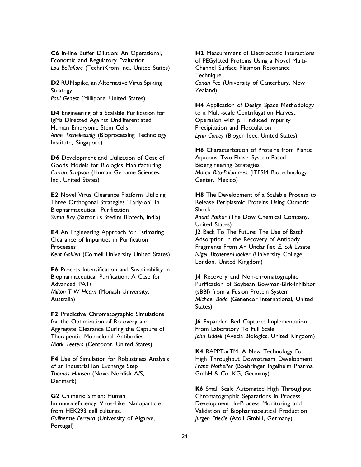**C6** In-line Buffer Dilution: An Operational, Economic and Regulatory Evaluation *Lou Bellafiore* (TechniKrom Inc., United States)

**D2** RUNspike, an Alternative Virus Spiking **Strategy** *Paul Genest* (Millipore, United States)

**D4** Engineering of a Scalable Purification for IgMs Directed Against Undifferentiated Human Embryonic Stem Cells *Anne Tscheliessnig* (Bioprocessing Technology Institute, Singapore)

**D6** Development and Utilization of Cost of Goods Models for Biologics Manufacturing *Curran Simpson* (Human Genome Sciences, Inc., United States)

**E2** Novel Virus Clearance Platform Utilizing Three Orthogonal Strategies "Early-on" in Biopharmaceutical Purification *Suma Ray* (Sartorius Stedim Biotech, India)

**E4** An Engineering Approach for Estimating Clearance of Impurities in Purification **Processes** *Kent Goklen* (Cornell University United States)

**E6** Process Intensification and Sustainability in Biopharmaceutical Purification: A Case for Advanced PATs *Milton T W Hearn* (Monash University, Australia)

**F2** Predictive Chromatographic Simulations for the Optimization of Recovery and Aggregate Clearance During the Capture of Therapeutic Monoclonal Antibodies *Mark Teeters* (Centocor, United States)

**F4** Use of Simulation for Robustness Analysis of an Industrial Ion Exchange Step *Thomas Hansen* (Novo Nordisk A/S, Denmark)

**G2** Chimeric Simian: Human Immunodeficiency Virus-Like Nanoparticle from HEK293 cell cultures. *Guilherme Ferreira* (University of Algarve, Portugal)

**H2** Measurement of Electrostatic Interactions of PEGylated Proteins Using a Novel Multi-Channel Surface Plasmon Resonance **Technique** *Conan Fee* (University of Canterbury, New Zealand)

**H4** Application of Design Space Methodology to a Multi-scale Centrifugation Harvest Operation with pH Induced Impurity Precipitation and Flocculation *Lynn Conley* (Biogen Idec, United States)

**H6** Characterization of Proteins from Plants: Aqueous Two-Phase System-Based Bioengineering Strategies *Marco Rito-Palomares* (ITESM Biotechnology Center, Mexico)

**H8** The Development of a Scalable Process to Release Periplasmic Proteins Using Osmotic Shock

*Anant Patkar* (The Dow Chemical Company, United States)

**J2** Back To The Future: The Use of Batch Adsorption in the Recovery of Antibody Fragments From An Unclarified *E. coli* Lysate *Nigel Titchener-Hooker* (University College London, United Kingdom)

**J4** Recovery and Non-chromatographic Purification of Soybean Bowman-Birk-Inhibitor (sBBI) from a Fusion Protein System *Michael Bodo* (Genencor International, United States)

**J6** Expanded Bed Capture: Implementation From Laboratory To Full Scale *John Liddell* (Avecia Biologics, United Kingdom)

**K4** RAPPTorTM: A New Technology For High Throughput Downstream Development *Franz Nothelfer* (Boehringer Ingelheim Pharma GmbH & Co. KG, Germany)

**K6** Small Scale Automated High Throughput Chromatographic Separations in Process Development, In-Process Monitoring and Validation of Biopharmaceutical Production *Jürgen Friedle* (Atoll GmbH, Germany)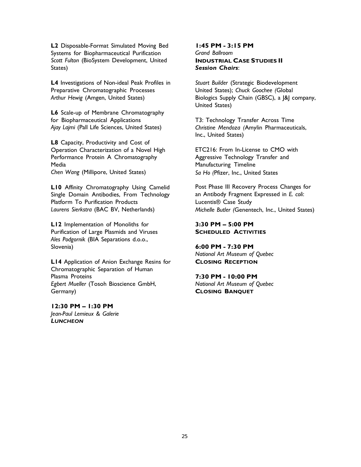**L2** Disposable-Format Simulated Moving Bed Systems for Biopharmaceutical Purification *Scott Fulton* (BioSystem Development, United States)

**L4** Investigations of Non-ideal Peak Profiles in Preparative Chromatographic Processes *Arthur Hewig* (Amgen, United States)

**L6** Scale-up of Membrane Chromatography for Biopharmaceutical Applications *Ajay Lajmi* (Pall Life Sciences, United States)

**L8** Capacity, Productivity and Cost of Operation Characterization of a Novel High Performance Protein A Chromatography **Media** *Chen Wang* (Millipore, United States)

**L10** Affinity Chromatography Using Camelid Single Domain Antibodies, From Technology Platform To Purification Products *Laurens Sierkstra* (BAC BV, Netherlands)

**L12** Implementation of Monoliths for Purification of Large Plasmids and Viruses *Ales Podgornik* (BIA Separations d.o.o., Slovenia)

**L14** Application of Anion Exchange Resins for Chromatographic Separation of Human Plasma Proteins *Egbert Mueller* (Tosoh Bioscience GmbH, Germany)

**12:30 PM – 1:30 PM** *Jean-Paul Lemieux & Galerie LUNCHEON*

#### **1:45 PM - 3:15 PM** *Grand Ballroom* **INDUSTRIAL CASE STUDIES II** *Session Chairs*:

*Stuart Builder* (Strategic Biodevelopment United States); *Chuck Goochee (*Global Biologics Supply Chain (GBSC), a J&J company, United States)

T3: Technology Transfer Across Time *Christine Mendoza (*Amylin Pharmaceuticals, Inc., United States)

ETC216: From In-License to CMO with Aggressive Technology Transfer and Manufacturing Timeline *Sa Ho (*Pfizer, Inc., United States

Post Phase III Recovery Process Changes for an Antibody Fragment Expressed in *E. coli*: Lucentis® Case Study *Michelle Butler (*Genentech, Inc., United States)

#### **3:30 PM – 5:00 PM SCHEDULED ACTIVITIES**

**6:00 PM - 7:30 PM** *National Art Museum of Quebec* **CLOSING RECEPTION**

**7:30 PM - 10:00 PM** *National Art Museum of Quebec* **CLOSING BANQUET**